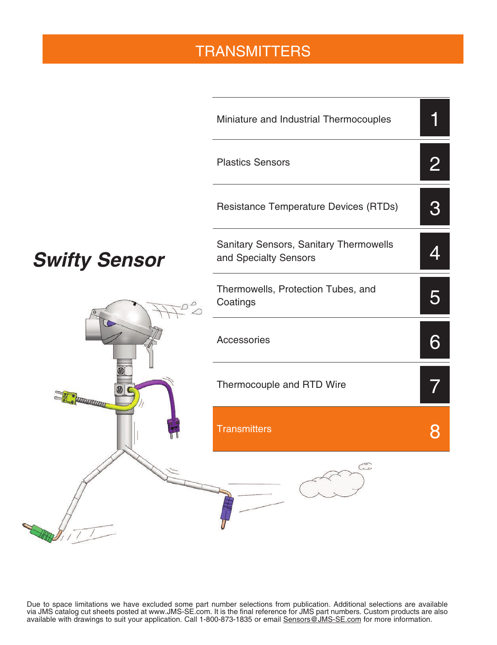### **TRANSMITTERS**



Due to space limitations we have excluded some part number selections from publication. Additional selections are available via JMS catalog cut sheets posted at www.JMS-SE.com. It is the final reference for JMS part numbers. Custom products are also available with drawings to suit your application. Call 1-800-873-1835 or email **Sensors@JMS-SE.com** for more information.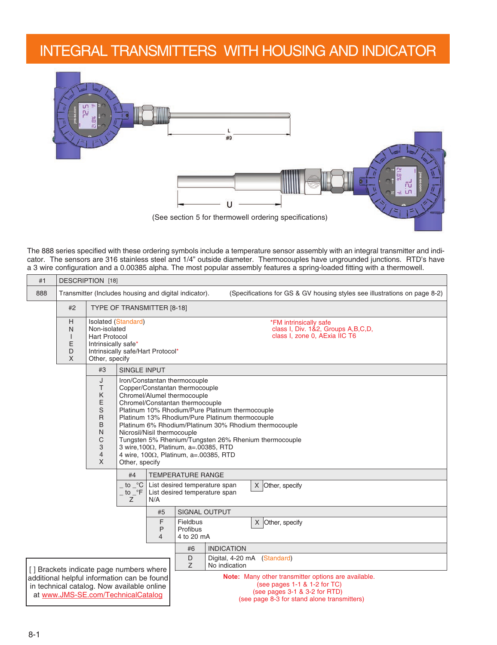#### INTEGRAL TRANSMITTERS WITH HOUSING AND INDICATOR



The 888 series specified with these ordering symbols include a temperature sensor assembly with an integral transmitter and indicator. The sensors are 316 stainless steel and 1/4" outside diameter. Thermocouples have ungrounded junctions. RTD's have a 3 wire configuration and a 0.00385 alpha. The most popular assembly features a spring-loaded fitting with a thermowell.

| #1  | <b>DESCRIPTION [18]</b>                                                                                                            |                                                                                                                                 |                                                                                |                               |                                                                                                                                                                                                                                                                                                                                                                                                                                                                                                                                                                     |                   |  |  |  |  |  |  |
|-----|------------------------------------------------------------------------------------------------------------------------------------|---------------------------------------------------------------------------------------------------------------------------------|--------------------------------------------------------------------------------|-------------------------------|---------------------------------------------------------------------------------------------------------------------------------------------------------------------------------------------------------------------------------------------------------------------------------------------------------------------------------------------------------------------------------------------------------------------------------------------------------------------------------------------------------------------------------------------------------------------|-------------------|--|--|--|--|--|--|
| 888 | Transmitter (Includes housing and digital indicator).<br>(Specifications for GS & GV housing styles see illustrations on page 8-2) |                                                                                                                                 |                                                                                |                               |                                                                                                                                                                                                                                                                                                                                                                                                                                                                                                                                                                     |                   |  |  |  |  |  |  |
|     | #2                                                                                                                                 |                                                                                                                                 | TYPE OF TRANSMITTER [8-18]                                                     |                               |                                                                                                                                                                                                                                                                                                                                                                                                                                                                                                                                                                     |                   |  |  |  |  |  |  |
|     | H<br>N<br>$\overline{\phantom{a}}$<br>E<br>D<br>X                                                                                  | Non-isolated<br><b>Hart Protocol</b><br>Intrinsically safe*<br>Other, specify                                                   | Isolated (Standard)<br>Intrinsically safe/Hart Protocol*                       |                               | *FM intrinsically safe<br>class I, Div. 1&2, Groups A,B,C,D,<br>class I, zone 0, AExia IIC T6                                                                                                                                                                                                                                                                                                                                                                                                                                                                       |                   |  |  |  |  |  |  |
|     | #3<br><b>SINGLE INPUT</b>                                                                                                          |                                                                                                                                 |                                                                                |                               |                                                                                                                                                                                                                                                                                                                                                                                                                                                                                                                                                                     |                   |  |  |  |  |  |  |
|     |                                                                                                                                    | J<br>T<br>Κ<br>E<br>S<br>$\mathsf{R}$<br>B<br>N<br>C<br>3<br>$\overline{4}$<br>X                                                | Other, specify<br>#4<br>to $\degree$ C<br>. to $\mathbin{{\rightharpoonup}}$ F | List desired temperature span | Iron/Constantan thermocouple<br>Copper/Constantan thermocouple<br>Chromel/Alumel thermocouple<br>Chromel/Constantan thermocouple<br>Platinum 10% Rhodium/Pure Platinum thermocouple<br>Platinum 13% Rhodium/Pure Platinum thermocouple<br>Platinum 6% Rhodium/Platinum 30% Rhodium thermocouple<br>Nicrosil/Nisil thermocouple<br>Tungsten 5% Rhenium/Tungsten 26% Rhenium thermocouple<br>3 wire, 100Ω, Platinum, a=.00385, RTD<br>4 wire, 100 $\Omega$ , Platinum, a=.00385, RTD<br><b>TEMPERATURE RANGE</b><br>List desired temperature span<br>X Other, specify |                   |  |  |  |  |  |  |
|     |                                                                                                                                    |                                                                                                                                 | Z                                                                              | N/A                           |                                                                                                                                                                                                                                                                                                                                                                                                                                                                                                                                                                     |                   |  |  |  |  |  |  |
|     |                                                                                                                                    |                                                                                                                                 |                                                                                | #5<br>F                       | SIGNAL OUTPUT<br>Fieldbus                                                                                                                                                                                                                                                                                                                                                                                                                                                                                                                                           |                   |  |  |  |  |  |  |
|     |                                                                                                                                    |                                                                                                                                 |                                                                                | P<br>4                        | X Other, specify<br>4 to 20 mA                                                                                                                                                                                                                                                                                                                                                                                                                                                                                                                                      |                   |  |  |  |  |  |  |
|     |                                                                                                                                    |                                                                                                                                 |                                                                                |                               | #6                                                                                                                                                                                                                                                                                                                                                                                                                                                                                                                                                                  | <b>INDICATION</b> |  |  |  |  |  |  |
|     |                                                                                                                                    | [] Brackets indicate page numbers where                                                                                         |                                                                                |                               | D<br>Digital, 4-20 mA<br>(Standard)<br>Z<br>No indication                                                                                                                                                                                                                                                                                                                                                                                                                                                                                                           |                   |  |  |  |  |  |  |
|     |                                                                                                                                    | additional helpful information can be found<br>in technical catalog. Now available online<br>at www.JMS-SE.com/TechnicalCatalog |                                                                                |                               | Note: Many other transmitter options are available.<br>(see pages 1-1 & 1-2 for TC)<br>(see pages 3-1 & 3-2 for RTD)<br>(see page 8-3 for stand alone transmitters)                                                                                                                                                                                                                                                                                                                                                                                                 |                   |  |  |  |  |  |  |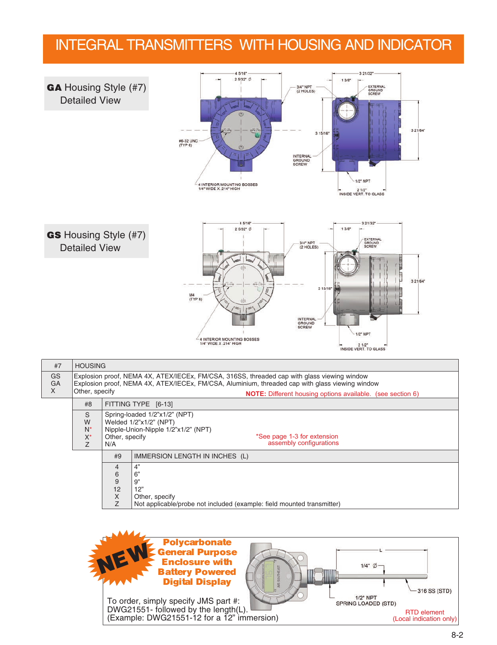#### INTEGRAL TRANSMITTERS WITH HOUSING AND INDICATOR



| X | Other, specify                |                        | <b>NOTE:</b> Different housing options available. (see section 6)                                                                                        |  |  |  |  |  |  |
|---|-------------------------------|------------------------|----------------------------------------------------------------------------------------------------------------------------------------------------------|--|--|--|--|--|--|
|   | #8                            |                        | FITTING TYPE [6-13]                                                                                                                                      |  |  |  |  |  |  |
|   | S<br>W<br>$N^*$<br>$X^*$<br>Z | Other, specify<br>N/A  | Spring-loaded 1/2"x1/2" (NPT)<br>Welded 1/2"x1/2" (NPT)<br>Nipple-Union-Nipple 1/2"x1/2" (NPT)<br>*See page 1-3 for extension<br>assembly configurations |  |  |  |  |  |  |
|   |                               | #9                     | IMMERSION LENGTH IN INCHES (L)                                                                                                                           |  |  |  |  |  |  |
|   |                               | 4<br>6<br>9<br>12<br>X | 4"<br>6"<br>9"<br>12"<br>Other, specify                                                                                                                  |  |  |  |  |  |  |
|   |                               |                        | Not applicable/probe not included (example: field mounted transmitter)                                                                                   |  |  |  |  |  |  |